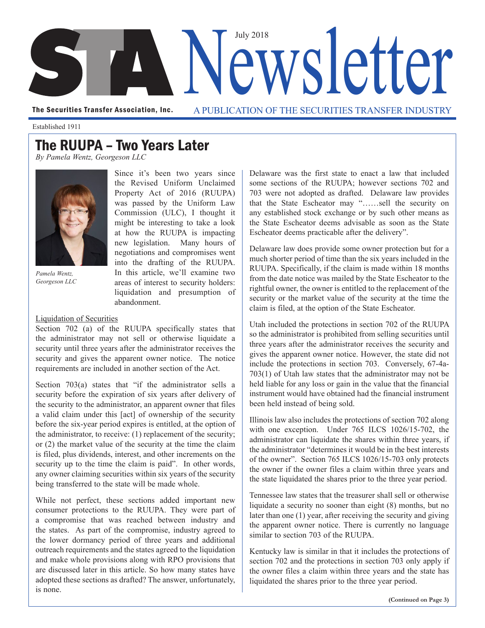

The Securities Transfer Association, Inc. A PUBLICATION OF THE SECURITIES TRANSFER INDUSTRY

Established 1911

## The RUUPA – Two Years Later

*By Pamela Wentz, Georgeson LLC*



*Pamela Wentz, Georgeson LLC*

Since it's been two years since the Revised Uniform Unclaimed Property Act of 2016 (RUUPA) was passed by the Uniform Law Commission (ULC), I thought it might be interesting to take a look at how the RUUPA is impacting new legislation. Many hours of negotiations and compromises went into the drafting of the RUUPA. In this article, we'll examine two areas of interest to security holders: liquidation and presumption of abandonment.

## Liquidation of Securities

Section 702 (a) of the RUUPA specifically states that the administrator may not sell or otherwise liquidate a security until three years after the administrator receives the security and gives the apparent owner notice. The notice requirements are included in another section of the Act.

Section 703(a) states that "if the administrator sells a security before the expiration of six years after delivery of the security to the administrator, an apparent owner that files a valid claim under this [act] of ownership of the security before the six-year period expires is entitled, at the option of the administrator, to receive: (1) replacement of the security; or (2) the market value of the security at the time the claim is filed, plus dividends, interest, and other increments on the security up to the time the claim is paid". In other words, any owner claiming securities within six years of the security being transferred to the state will be made whole.

While not perfect, these sections added important new consumer protections to the RUUPA. They were part of a compromise that was reached between industry and the states. As part of the compromise, industry agreed to the lower dormancy period of three years and additional outreach requirements and the states agreed to the liquidation and make whole provisions along with RPO provisions that are discussed later in this article. So how many states have adopted these sections as drafted? The answer, unfortunately, is none.

Delaware was the first state to enact a law that included some sections of the RUUPA; however sections 702 and 703 were not adopted as drafted. Delaware law provides that the State Escheator may "……sell the security on any established stock exchange or by such other means as the State Escheator deems advisable as soon as the State Escheator deems practicable after the delivery".

Delaware law does provide some owner protection but for a much shorter period of time than the six years included in the RUUPA. Specifically, if the claim is made within 18 months from the date notice was mailed by the State Escheator to the rightful owner, the owner is entitled to the replacement of the security or the market value of the security at the time the claim is filed, at the option of the State Escheator.

Utah included the protections in section 702 of the RUUPA so the administrator is prohibited from selling securities until three years after the administrator receives the security and gives the apparent owner notice. However, the state did not include the protections in section 703. Conversely, 67-4a-703(1) of Utah law states that the administrator may not be held liable for any loss or gain in the value that the financial instrument would have obtained had the financial instrument been held instead of being sold.

Illinois law also includes the protections of section 702 along with one exception. Under 765 ILCS 1026/15-702, the administrator can liquidate the shares within three years, if the administrator "determines it would be in the best interests of the owner". Section 765 ILCS 1026/15-703 only protects the owner if the owner files a claim within three years and the state liquidated the shares prior to the three year period.

Tennessee law states that the treasurer shall sell or otherwise liquidate a security no sooner than eight (8) months, but no later than one (1) year, after receiving the security and giving the apparent owner notice. There is currently no language similar to section 703 of the RUUPA.

Kentucky law is similar in that it includes the protections of section 702 and the protections in section 703 only apply if the owner files a claim within three years and the state has liquidated the shares prior to the three year period.